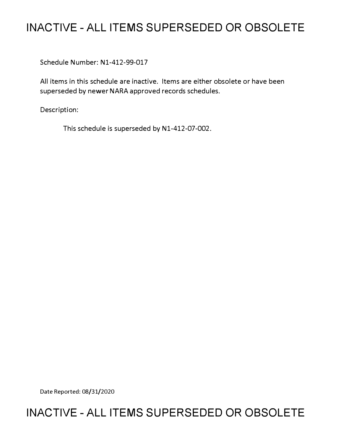## **INACTIVE - ALL ITEMS SUPERSEDED OR OBSOLETE**

Schedule Number: Nl-412-99-017

All items in this schedule are inactive. Items are either obsolete or have been superseded by newer NARA approved records schedules.

Description:

This schedule is superseded by Nl-412-07-002.

Date Reported: 08/31/2020

# **INACTIVE - ALL ITEMS SUPERSEDED OR OBSOLETE**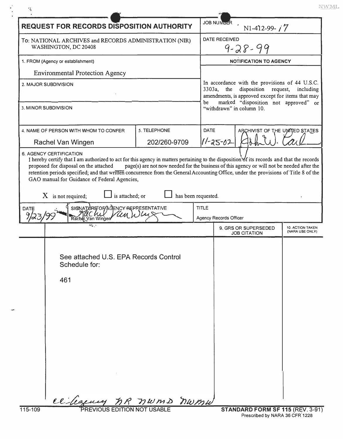NWML

| <b>REQUEST FOR RECORDS DISPOSITION AUTHORITY</b>                                                                                                                                                                                                                                                                                                                                                                      |                              |                                       | <b>JOB NUMBER</b><br>$N1-412-99 - j7$                                                                                                                                                                |                                            |  |  |
|-----------------------------------------------------------------------------------------------------------------------------------------------------------------------------------------------------------------------------------------------------------------------------------------------------------------------------------------------------------------------------------------------------------------------|------------------------------|---------------------------------------|------------------------------------------------------------------------------------------------------------------------------------------------------------------------------------------------------|--------------------------------------------|--|--|
| To: NATIONAL ARCHIVES and RECORDS ADMINISTRATION (NIR)<br>WASHINGTON, DC 20408<br>1. FROM (Agency or establishment)                                                                                                                                                                                                                                                                                                   |                              | <b>DATE RECEIVED</b><br>$9 - 28 - 99$ |                                                                                                                                                                                                      |                                            |  |  |
|                                                                                                                                                                                                                                                                                                                                                                                                                       |                              |                                       | <b>NOTIFICATION TO AGENCY</b>                                                                                                                                                                        |                                            |  |  |
| <b>Environmental Protection Agency</b>                                                                                                                                                                                                                                                                                                                                                                                |                              |                                       |                                                                                                                                                                                                      |                                            |  |  |
| 2. MAJOR SUBDIVISION                                                                                                                                                                                                                                                                                                                                                                                                  |                              | be                                    | In accordance with the provisions of 44 U.S.C.<br>disposition request,<br>$3303a$ ,<br>the<br>including<br>amendments, is approved except for items that may<br>marked "disposition not approved" or |                                            |  |  |
| 3. MINOR SUBDIVISION                                                                                                                                                                                                                                                                                                                                                                                                  |                              |                                       | "withdrawn" in column 10.                                                                                                                                                                            |                                            |  |  |
| 4. NAME OF PERSON WITH WHOM TO CONFER<br>Rachel Van Wingen                                                                                                                                                                                                                                                                                                                                                            | 5. TELEPHONE<br>202/260-9709 | <b>DATE</b>                           | $11 - 25 - 02$                                                                                                                                                                                       | ARCHIVIST OF THE UNITED STATES             |  |  |
| I hereby certify that I am authorized to act for this agency in matters pertaining to the disposition of its records and that the records<br>proposed for disposal on the attached<br>retention periods specified; and that written concurrence from the General Accounting Office, under the provisions of Title 8 of the<br>GAO manual for Guidance of Federal Agencies,<br>is attached; or<br>$X$ is not required; | has been requested.          |                                       | page(s) are not now needed for the business of this agency or will not be needed after the                                                                                                           |                                            |  |  |
| SIGNATURE OF AGENCY REPRESENTATIVE<br>DATE<br>Van Wingen                                                                                                                                                                                                                                                                                                                                                              |                              | <b>TITLE</b>                          | <b>Agency Records Officer</b>                                                                                                                                                                        |                                            |  |  |
|                                                                                                                                                                                                                                                                                                                                                                                                                       |                              |                                       | 9. GRS OR SUPERSEDED<br><b>JOB CITATION</b>                                                                                                                                                          | <b>10. ACTION TAKEN</b><br>(NARA USE ONLY) |  |  |
| See attached U.S. EPA Records Control<br>Schedule for:<br>461                                                                                                                                                                                                                                                                                                                                                         |                              |                                       |                                                                                                                                                                                                      |                                            |  |  |
| ce legency MR nums numu                                                                                                                                                                                                                                                                                                                                                                                               |                              |                                       |                                                                                                                                                                                                      |                                            |  |  |

 $\frac{1}{2}$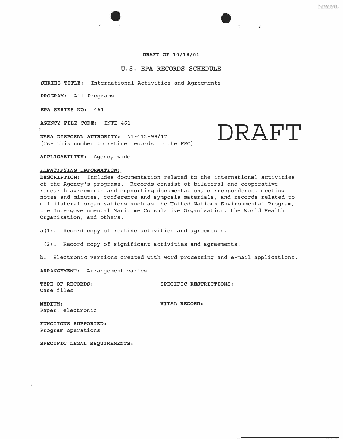#### **DRAFT OF 10/19/01**

## **U.S. EPA RECORDS SCHEDULE**

**SERIES TITLE:** International Activities and Agreements

**PROGRAM:** All Programs

**EPA SERIES NO:** 461

**AGENCY FILE CODE:** INTE 461

**NARA DISPOSAL AUTHORITY:** Nl-412-99/17 (Use this number to retire records to the FRC)

**APPLICABILITY:** Agency-wide

#### *IDENTIFYING INFORMATION:*

**DESCRIPTION:** Includes documentation related to the international activities of the Agency's programs. Records consist of bilateral and cooperative research agreements and supporting documentation, correspondence, meeting notes and minutes, conference and symposia materials, and records related to multilateral organizations such as the United Nations Environmental Program, the Intergovernmental Maritime Consulative Organization, the World Health Organization, and others.

a(l). Record copy of routine activities and agreements.

(2). Record copy of significant activities and agreements.

b. Electronic versions created with word processing and e-mail applications.

**ARRANGEMENT:** Arrangement varies.

Case files

**TYPE OF RECORDS: SPECIFIC RESTRICTIONS:** 

**DRAFT** 

**MEDIUM: VITAL RECORD:** Paper, electronic

**FUNCTIONS SUPPORTED:**  Program operations

**SPECIFIC LEGAL REQUIREMENTS:**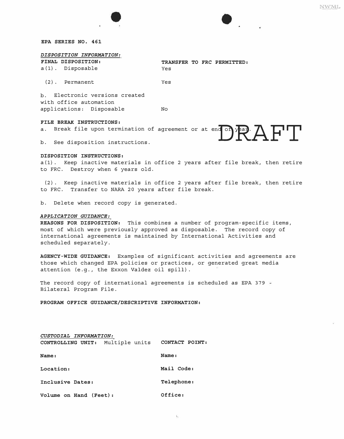

## *DISPOSITION INFORMATION:*

| <b>FINAL DISPOSITION:</b> |     |  | TRANSFER TO FRC PERMITTED: |  |
|---------------------------|-----|--|----------------------------|--|
| a(1). Disposable          | Yes |  |                            |  |

(2). Permanent Yes

b. Electronic versions created with office automation applications: Disposable No

## *FILE BREAK INSTRUCTIONS:*

**a.** Break file upon termination of agreement or at end of year.  $\mathbf{A}$ 

b. See disposition instructions.

#### *DISPOSITION INSTRUCTIONS:*

a(l). Keep inactive materials in office 2 years after file break, then retire to FRC. Destroy when 6 years old.

(2). Keep inactive materials in office 2 years after file break, then retire to FRC. Transfer to NARA 20 years after file break.

b. Delete when record copy is generated.

#### *APPLICATION GUIDANCE:*

*REASONS FOR DISPOSITION:* This combines a number of program-specific items, most of which were previously approved as disposable. The record copy of international agreements is maintained by International Activities and scheduled separately.

*AGENCY-WIDE GUIDANCE:* Examples of significant activities and agreements are those which changed EPA policies or practices, or generated great media attention (e.g., the Exxon Valdez oil spill).

The record copy of international agreements is scheduled as EPA 379 -Bilateral Program File.

*PROGRAM OFFICE GUIDANCE/DESCRIPTIVE INFORMATION:* 

| CUSTODIAL INFORMATION:                          |            |
|-------------------------------------------------|------------|
| CONTROLLING UNIT: Multiple units CONTACT POINT: |            |
| Name:                                           | Name:      |
| Location:                                       | Mail Code: |
| Inclusive Dates:                                | Telephone: |
| Volume on Hand (Feet):                          | Office:    |